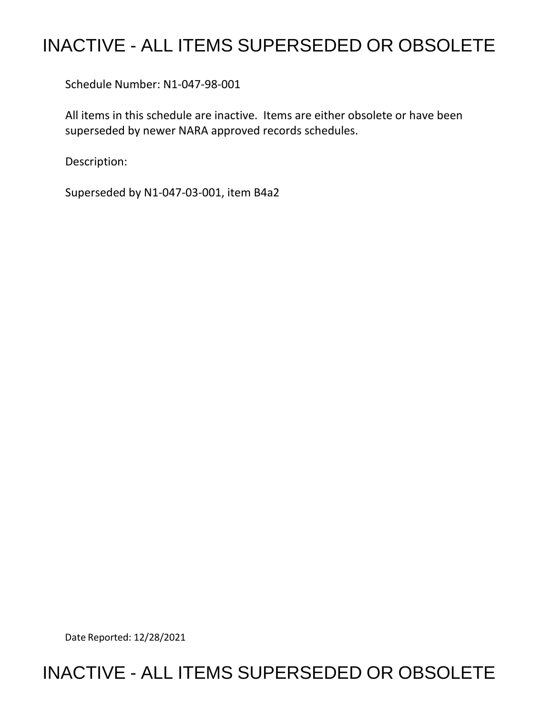## INACTIVE - ALL ITEMS SUPERSEDED OR OBSOLETE

Schedule Number: N1-047-98-001

 All items in this schedule are inactive. Items are either obsolete or have been superseded by newer NARA approved records schedules.

Description:

Superseded by N1-047-03-001, item B4a2

Date Reported: 12/28/2021

## INACTIVE - ALL ITEMS SUPERSEDED OR OBSOLETE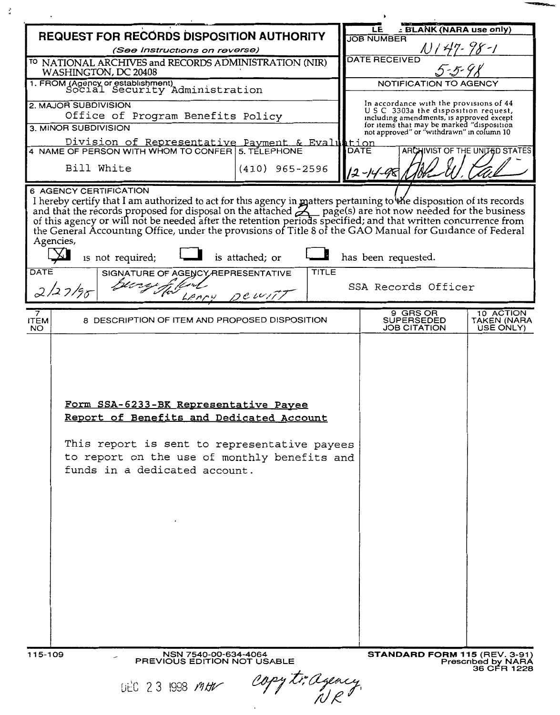| <b>REQUEST FOR RECORDS DISPOSITION AUTHORITY</b>                                                                                                                                                                                                                                                                                                                                                                                                                                             | <b>ELANK (NARA use only)</b><br>LE<br><b>JOB NUMBER</b>                                                                   |
|----------------------------------------------------------------------------------------------------------------------------------------------------------------------------------------------------------------------------------------------------------------------------------------------------------------------------------------------------------------------------------------------------------------------------------------------------------------------------------------------|---------------------------------------------------------------------------------------------------------------------------|
| (See Instructions on reverse)                                                                                                                                                                                                                                                                                                                                                                                                                                                                |                                                                                                                           |
| TO NATIONAL ARCHIVES and RECORDS ADMINISTRATION (NIR)<br>WASHINGTON, DC 20408                                                                                                                                                                                                                                                                                                                                                                                                                | <b>DATE RECEIVED</b>                                                                                                      |
| 1. FROM (Agency or establishment)<br>Social Security Administration                                                                                                                                                                                                                                                                                                                                                                                                                          | NOTIFICATION TO AGENCY                                                                                                    |
| 2. MAJOR SUBDIVISION<br>Office of Program Benefits Policy                                                                                                                                                                                                                                                                                                                                                                                                                                    | In accordance with the provisions of 44<br>USC 3303a the disposition request,<br>including amendments, is approved except |
| 3. MINOR SUBDIVISION                                                                                                                                                                                                                                                                                                                                                                                                                                                                         | for items that may be marked "disposition<br>not approved" or "withdrawn" in column 10                                    |
| Division of Representative Payment & Evaluation 4 NAME OF PERSON WITH WHOM TO CONFER 5. TELEPHONE                                                                                                                                                                                                                                                                                                                                                                                            | ARCHIVIST OF THE UNITED STATES                                                                                            |
| Bill White<br>$(410)$ 965-2596                                                                                                                                                                                                                                                                                                                                                                                                                                                               | 12-14-98                                                                                                                  |
| 6 AGENCY CERTIFICATION<br>I hereby certify that I am authorized to act for this agency in matters pertaining to the disposition of its records and that the records proposed for disposal on the attached $\sum$ page(s) are not now needed for the busine<br>the General Accounting Office, under the provisions of Title 8 of the GAO Manual for Guidance of Federal<br>Agencies,<br>is not required;<br>is attached; or<br>DATE<br>TITLE<br>SIGNATURE OF AGENCY REPRESENTATIVE<br>2/27/98 | has been requested.<br>SSA Records Officer                                                                                |
| $D$ c $V$                                                                                                                                                                                                                                                                                                                                                                                                                                                                                    |                                                                                                                           |
| 7<br>8 DESCRIPTION OF ITEM AND PROPOSED DISPOSITION<br><b>ITEM</b><br>NO.                                                                                                                                                                                                                                                                                                                                                                                                                    | 9 GRS OR<br>10 ACTION<br><b>SUPERSEDED</b><br>TAKEN (NARA<br><b>JOB CITATION</b><br>USE ONLY)                             |
| Form SSA-6233-BK Representative Payee<br>Report of Benefits and Dedicated Account<br>This report is sent to representative payees<br>to report on the use of monthly benefits and<br>funds in a dedicated account.                                                                                                                                                                                                                                                                           |                                                                                                                           |
| NSN 7540-00-634-4064<br>115-109<br>PREVIOUS EDITION NOT USABLE                                                                                                                                                                                                                                                                                                                                                                                                                               | STANDARD FORM 115 (REV. 3-91)<br>Prescribed by NARA<br>36 CFR 1228                                                        |
| copy triageacy<br><b>UEC 23 1998 MAY</b>                                                                                                                                                                                                                                                                                                                                                                                                                                                     |                                                                                                                           |

 $\ddot{\cdot}$